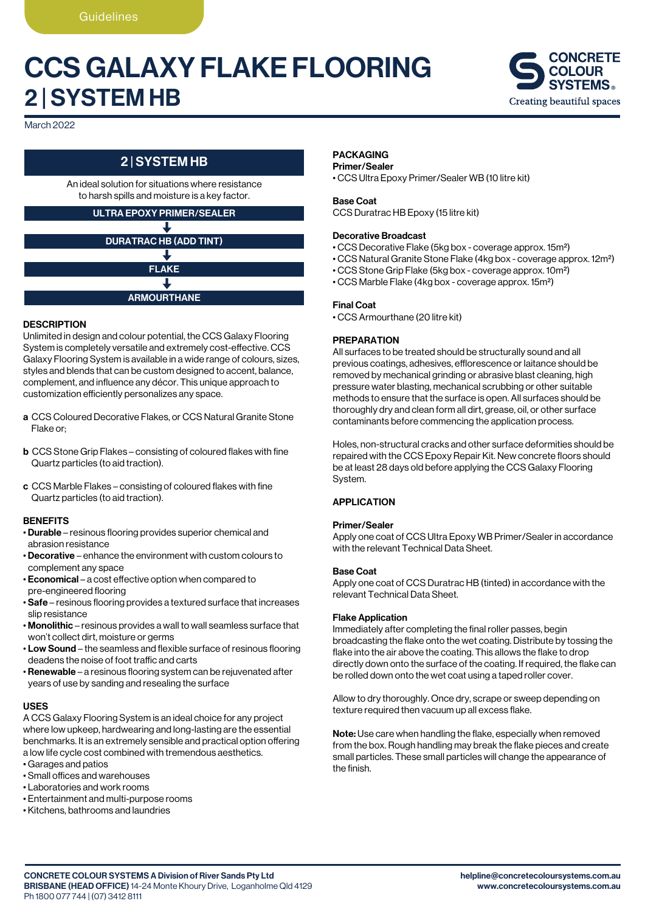# CCS GALAXY FLAKE FLOORING 2 | SYSTEM HB



March 2022

## 2 | SYSTEM HB

An ideal solution for situations where resistance to harsh spills and moisture is a key factor.

#### ULTRA EPOXY PRIMER/SEALER

# DURATRAC HB (ADD TINT) FLAKE ┹ ARMOURTHANE

#### **DESCRIPTION**

Unlimited in design and colour potential, the CCS Galaxy Flooring System is completely versatile and extremely cost-effective. CCS Galaxy Flooring System is available in a wide range of colours, sizes, styles and blends that can be custom designed to accent, balance, complement, and influence any décor. This unique approach to customization efficiently personalizes any space.

- a CCS Coloured Decorative Flakes, or CCS Natural Granite Stone Flake or;
- b CCS Stone Grip Flakes consisting of coloured flakes with fine Quartz particles (to aid traction).
- c CCS Marble Flakes consisting of coloured flakes with fine Quartz particles (to aid traction).

#### **BENEFITS**

- Durable resinous flooring provides superior chemical and abrasion resistance
- Decorative enhance the environment with custom colours to complement any space
- Economical a cost effective option when compared to pre-engineered flooring
- Safe resinous flooring provides a textured surface that increases slip resistance
- Monolithic resinous provides a wall to wall seamless surface that won't collect dirt, moisture or germs
- Low Sound the seamless and flexible surface of resinous flooring deadens the noise of foot traffic and carts
- Renewable a resinous flooring system can be rejuvenated after years of use by sanding and resealing the surface

#### USES

A CCS Galaxy Flooring System is an ideal choice for any project where low upkeep, hardwearing and long-lasting are the essential benchmarks. It is an extremely sensible and practical option offering a low life cycle cost combined with tremendous aesthetics.

- Garages and patios
- Small offices and warehouses
- Laboratories and work rooms
- Entertainment and multi-purpose rooms
- Kitchens, bathrooms and laundries

### PACKAGING

### Primer/Sealer

• CCS Ultra Epoxy Primer/Sealer WB (10 litre kit)

#### Base Coat

CCS Duratrac HB Epoxy (15 litre kit)

#### Decorative Broadcast

- CCS Decorative Flake (5kg box coverage approx. 15m2)
- CCS Natural Granite Stone Flake (4kg box coverage approx. 12m2)
- CCS Stone Grip Flake (5kg box coverage approx. 10m2)
- CCS Marble Flake (4kg box coverage approx. 15m2)

#### Final Coat

• CCS Armourthane (20 litre kit)

#### **PREPARATION**

All surfaces to be treated should be structurally sound and all previous coatings, adhesives, efflorescence or laitance should be removed by mechanical grinding or abrasive blast cleaning, high pressure water blasting, mechanical scrubbing or other suitable methods to ensure that the surface is open. All surfaces should be thoroughly dry and clean form all dirt, grease, oil, or other surface contaminants before commencing the application process.

Holes, non-structural cracks and other surface deformities should be repaired with the CCS Epoxy Repair Kit. New concrete floors should be at least 28 days old before applying the CCS Galaxy Flooring System.

#### **APPLICATION**

#### Primer/Sealer

Apply one coat of CCS Ultra Epoxy WB Primer/Sealer in accordance with the relevant Technical Data Sheet.

#### Base Coat

Apply one coat of CCS Duratrac HB (tinted) in accordance with the relevant Technical Data Sheet.

#### Flake Application

Immediately after completing the final roller passes, begin broadcasting the flake onto the wet coating. Distribute by tossing the flake into the air above the coating. This allows the flake to drop directly down onto the surface of the coating. If required, the flake can be rolled down onto the wet coat using a taped roller cover.

Allow to dry thoroughly. Once dry, scrape or sweep depending on texture required then vacuum up all excess flake.

Note: Use care when handling the flake, especially when removed from the box. Rough handling may break the flake pieces and create small particles. These small particles will change the appearance of the finish.